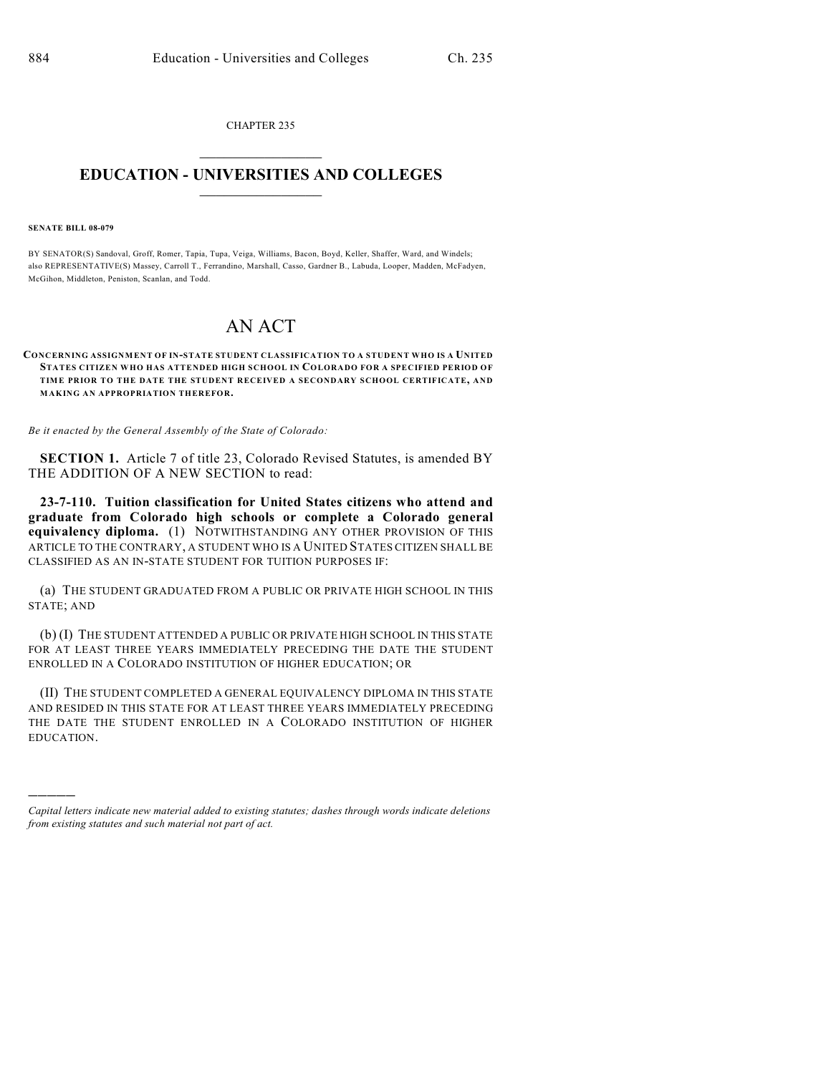CHAPTER 235  $\mathcal{L}_\text{max}$  . The set of the set of the set of the set of the set of the set of the set of the set of the set of the set of the set of the set of the set of the set of the set of the set of the set of the set of the set

## **EDUCATION - UNIVERSITIES AND COLLEGES**  $\frac{1}{2}$  ,  $\frac{1}{2}$  ,  $\frac{1}{2}$  ,  $\frac{1}{2}$  ,  $\frac{1}{2}$  ,  $\frac{1}{2}$  ,  $\frac{1}{2}$

## **SENATE BILL 08-079**

)))))

BY SENATOR(S) Sandoval, Groff, Romer, Tapia, Tupa, Veiga, Williams, Bacon, Boyd, Keller, Shaffer, Ward, and Windels; also REPRESENTATIVE(S) Massey, Carroll T., Ferrandino, Marshall, Casso, Gardner B., Labuda, Looper, Madden, McFadyen, McGihon, Middleton, Peniston, Scanlan, and Todd.

## AN ACT

## **CONCERNING ASSIGNMENT OF IN-STATE STUDENT CLASSIFICATION TO A STUDENT WHO IS A UNITED STATES CITIZEN WHO HAS ATTENDED HIGH SCHOOL IN COLORADO FOR A SPECIFIED PERIOD OF TIME PRIOR TO THE DATE THE STUDENT RECEIVED A SECONDARY SCHOOL CERTIFICATE, AND MAKING AN APPROPRIATION THEREFOR.**

*Be it enacted by the General Assembly of the State of Colorado:*

**SECTION 1.** Article 7 of title 23, Colorado Revised Statutes, is amended BY THE ADDITION OF A NEW SECTION to read:

**23-7-110. Tuition classification for United States citizens who attend and graduate from Colorado high schools or complete a Colorado general equivalency diploma.** (1) NOTWITHSTANDING ANY OTHER PROVISION OF THIS ARTICLE TO THE CONTRARY, A STUDENT WHO IS A UNITED STATES CITIZEN SHALL BE CLASSIFIED AS AN IN-STATE STUDENT FOR TUITION PURPOSES IF:

(a) THE STUDENT GRADUATED FROM A PUBLIC OR PRIVATE HIGH SCHOOL IN THIS STATE; AND

(b) (I) THE STUDENT ATTENDED A PUBLIC OR PRIVATE HIGH SCHOOL IN THIS STATE FOR AT LEAST THREE YEARS IMMEDIATELY PRECEDING THE DATE THE STUDENT ENROLLED IN A COLORADO INSTITUTION OF HIGHER EDUCATION; OR

(II) THE STUDENT COMPLETED A GENERAL EQUIVALENCY DIPLOMA IN THIS STATE AND RESIDED IN THIS STATE FOR AT LEAST THREE YEARS IMMEDIATELY PRECEDING THE DATE THE STUDENT ENROLLED IN A COLORADO INSTITUTION OF HIGHER EDUCATION.

*Capital letters indicate new material added to existing statutes; dashes through words indicate deletions from existing statutes and such material not part of act.*